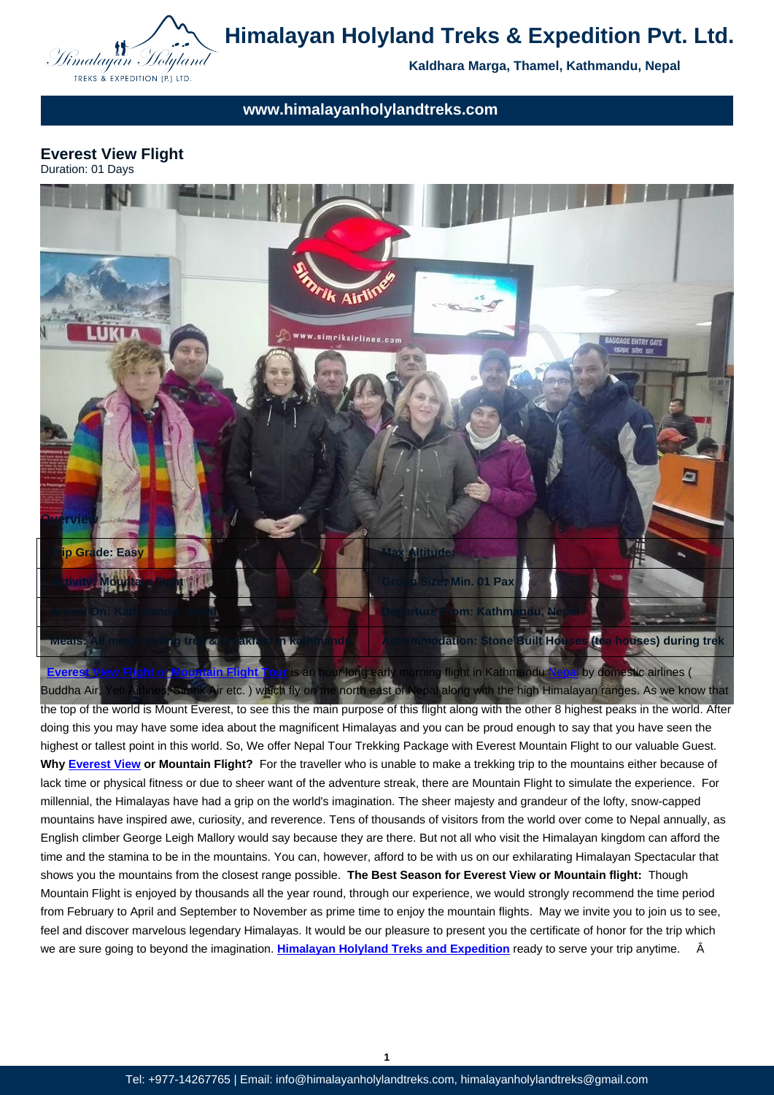

# **www.himalayanholylandtreks.com**

#### **Everest View Flight** Duration: 01 Days



the top of the world is Mount Everest, to see this the main purpose of this flight along with the other 8 highest peaks in the world. After doing this you may have some idea about the magnificent Himalayas and you can be proud enough to say that you have seen the [highest or tallest point in this world. So, We offer](http://www.himalayanholylandtreks.com) Nepal Tour Trekking Package with Everest Moun[tain Fl](http://www.himalayanholylandtreks.com/destination/nepal/)ight to our valuable Guest. **Why Everest View or Mountain Flight?** For the traveller who is unable to make a trekking trip to the mountains either because of lack time or physical fitness or due to sheer want of the adventure streak, there are Mountain Flight to simulate the experience. For millennial, the Himalayas have had a grip on the world's imagination. The sheer majesty and grandeur of the lofty, snow-capped mountains have inspired awe, curiosity, and reverence. Tens of thousands of visitors from the world over come to Nepal annually, as Engli[sh climber Geo](http://www.himalayanholylandtreks.com/everest-view-trek/)rge Leigh Mallory would say because they are there. But not all who visit the Himalayan kingdom can afford the time and the stamina to be in the mountains. You can, however, afford to be with us on our exhilarating Himalayan Spectacular that shows you the mountains from the closest range possible. **The Best Season for Everest View or Mountain flight:** Though Mountain Flight is enjoyed by thousands all the year round, through our experience, we would strongly recommend the time period from February to April and September to November as prime time to enjoy the mountain flights. May we invite you to join us to see, feel and discover marvelous legendary Himalayas. It would be our pleasure to present you the certificate of honor for the trip which we are sure going to beyond the imagination. **Himalayan Holyland Treks and Expedition** ready to serve your trip anytime. Â